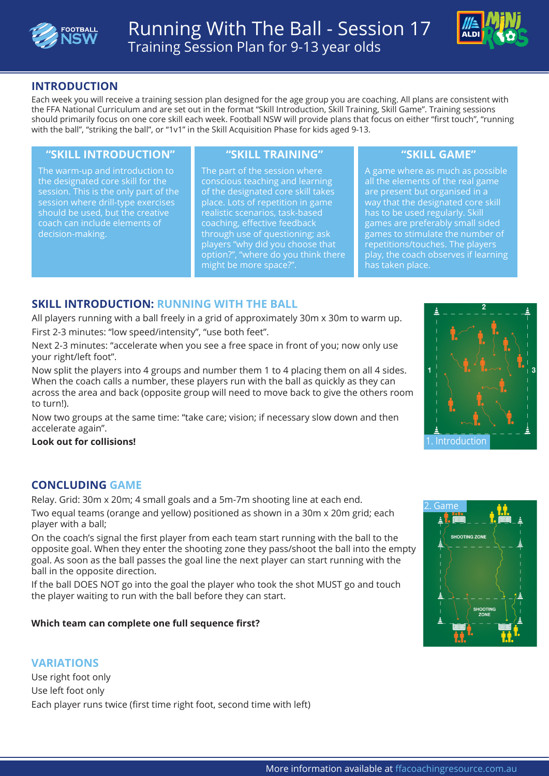



# **INTRODUCTION**

Each week you will receive a training session plan designed for the age group you are coaching. All plans are consistent with the FFA National Curriculum and are set out in the format "Skill Introduction, Skill Training, Skill Game". Training sessions should primarily focus on one core skill each week. Football NSW will provide plans that focus on either "first touch", "running with the ball", "striking the ball", or "1v1" in the Skill Acquisition Phase for kids aged 9-13.

### **"SKILL INTRODUCTION" "SKILL TRAINING" "SKILL GAME"**

The warm-up and introduction to the designated core skill for the session. This is the only part of the session where drill-type exercises should be used, but the creative coach can include elements of decision-making.

The part of the session where conscious teaching and learning of the designated core skill takes place. Lots of repetition in game realistic scenarios, task-based coaching, effective feedback through use of questioning; ask players "why did you choose that option?", "where do you think there might be more space?".

A game where as much as possible all the elements of the real game are present but organised in a way that the designated core skill has to be used regularly. Skill games are preferably small sided games to stimulate the number of repetitions/touches. The players play, the coach observes if learning has taken place.

# **SKILL INTRODUCTION: RUNNING WITH THE BALL**

All players running with a ball freely in a grid of approximately 30m x 30m to warm up. First 2-3 minutes: "low speed/intensity", "use both feet".

Next 2-3 minutes: "accelerate when you see a free space in front of you; now only use your right/left foot".

Now split the players into 4 groups and number them 1 to 4 placing them on all 4 sides. When the coach calls a number, these players run with the ball as quickly as they can across the area and back (opposite group will need to move back to give the others room to turn!).

Now two groups at the same time: "take care; vision; if necessary slow down and then accelerate again".

#### **Look out for collisions!**

## **CONCLUDING GAME**

Relay. Grid: 30m x 20m; 4 small goals and a 5m-7m shooting line at each end.

Two equal teams (orange and yellow) positioned as shown in a 30m x 20m grid; each player with a ball;

On the coach's signal the first player from each team start running with the ball to the opposite goal. When they enter the shooting zone they pass/shoot the ball into the empty goal. As soon as the ball passes the goal line the next player can start running with the ball in the opposite direction.

If the ball DOES NOT go into the goal the player who took the shot MUST go and touch the player waiting to run with the ball before they can start.

### **Which team can complete one full sequence first?**

### **VARIATIONS**

Use right foot only Use left foot only Each player runs twice (first time right foot, second time with left)